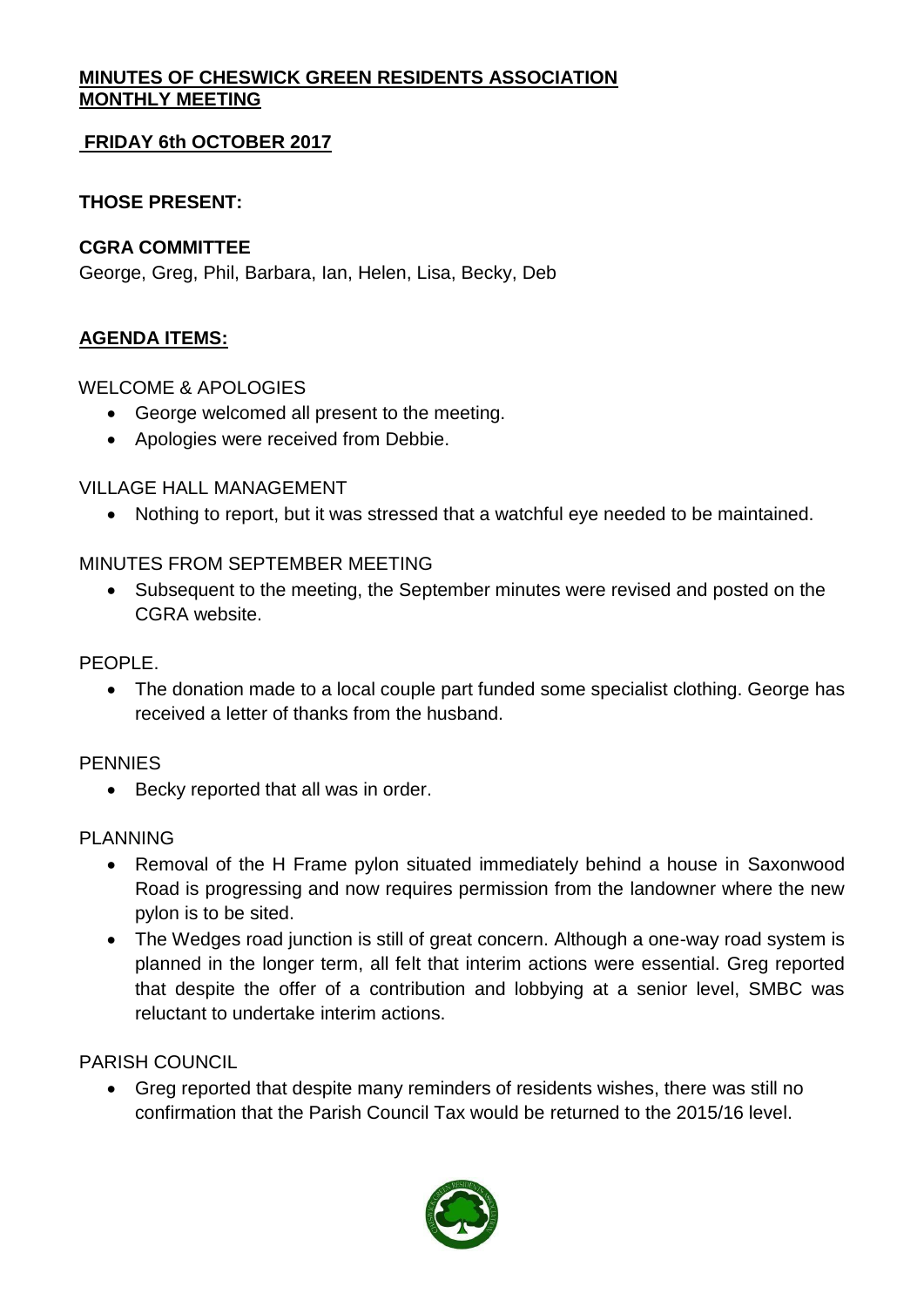# **MINUTES OF CHESWICK GREEN RESIDENTS ASSOCIATION MONTHLY MEETING**

# **FRIDAY 6th OCTOBER 2017**

# **THOSE PRESENT:**

## **CGRA COMMITTEE**

George, Greg, Phil, Barbara, Ian, Helen, Lisa, Becky, Deb

# **AGENDA ITEMS:**

WELCOME & APOLOGIES

- George welcomed all present to the meeting.
- Apologies were received from Debbie.

VILLAGE HALL MANAGEMENT

• Nothing to report, but it was stressed that a watchful eye needed to be maintained.

## MINUTES FROM SEPTEMBER MEETING

• Subsequent to the meeting, the September minutes were revised and posted on the CGRA website.

PEOPLE.

• The donation made to a local couple part funded some specialist clothing. George has received a letter of thanks from the husband.

#### PENNIES

• Becky reported that all was in order.

#### PLANNING

- Removal of the H Frame pylon situated immediately behind a house in Saxonwood Road is progressing and now requires permission from the landowner where the new pylon is to be sited.
- The Wedges road junction is still of great concern. Although a one-way road system is planned in the longer term, all felt that interim actions were essential. Greg reported that despite the offer of a contribution and lobbying at a senior level, SMBC was reluctant to undertake interim actions.

# PARISH COUNCIL

• Greg reported that despite many reminders of residents wishes, there was still no confirmation that the Parish Council Tax would be returned to the 2015/16 level.